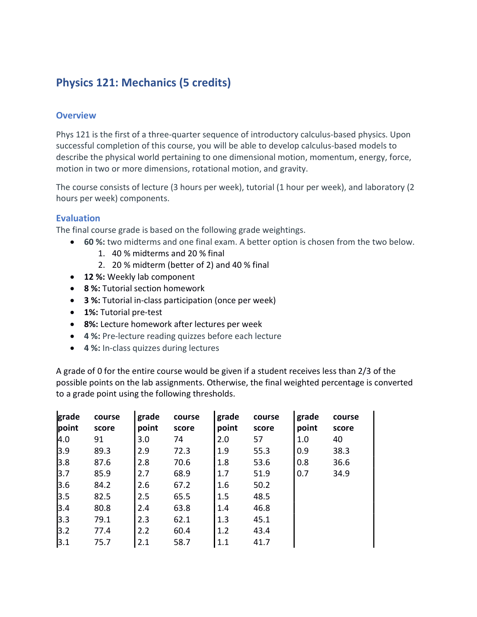# Physics 121: Mechanics (5 credits)

## **Overview**

Phys 121 is the first of a three-quarter sequence of introductory calculus-based physics. Upon successful completion of this course, you will be able to develop calculus-based models to describe the physical world pertaining to one dimensional motion, momentum, energy, force, motion in two or more dimensions, rotational motion, and gravity.

The course consists of lecture (3 hours per week), tutorial (1 hour per week), and laboratory (2 hours per week) components.

## Evaluation

The final course grade is based on the following grade weightings.

- 60 %: two midterms and one final exam. A better option is chosen from the two below.
	- 1. 40 % midterms and 20 % final
	- 2. 20 % midterm (better of 2) and 40 % final
- 12 %: Weekly lab component
- 8 %: Tutorial section homework
- 3 %: Tutorial in-class participation (once per week)
- 1%: Tutorial pre-test
- 8%: Lecture homework after lectures per week
- 4 %: Pre-lecture reading quizzes before each lecture
- 4 %: In-class quizzes during lectures

A grade of 0 for the entire course would be given if a student receives less than 2/3 of the possible points on the lab assignments. Otherwise, the final weighted percentage is converted to a grade point using the following thresholds.

| grade | course | grade | course | grade | course | grade | course |
|-------|--------|-------|--------|-------|--------|-------|--------|
| point | score  | point | score  | point | score  | point | score  |
| 4.0   | 91     | 3.0   | 74     | 2.0   | 57     | 1.0   | 40     |
| 3.9   | 89.3   | 2.9   | 72.3   | 1.9   | 55.3   | 0.9   | 38.3   |
| 3.8   | 87.6   | 2.8   | 70.6   | 1.8   | 53.6   | 0.8   | 36.6   |
| 3.7   | 85.9   | 2.7   | 68.9   | 1.7   | 51.9   | 0.7   | 34.9   |
| 3.6   | 84.2   | 2.6   | 67.2   | 1.6   | 50.2   |       |        |
| 3.5   | 82.5   | 2.5   | 65.5   | 1.5   | 48.5   |       |        |
| 3.4   | 80.8   | 2.4   | 63.8   | 1.4   | 46.8   |       |        |
| 3.3   | 79.1   | 2.3   | 62.1   | 1.3   | 45.1   |       |        |
| 3.2   | 77.4   | 2.2   | 60.4   | 1.2   | 43.4   |       |        |
| 3.1   | 75.7   | 2.1   | 58.7   | 1.1   | 41.7   |       |        |